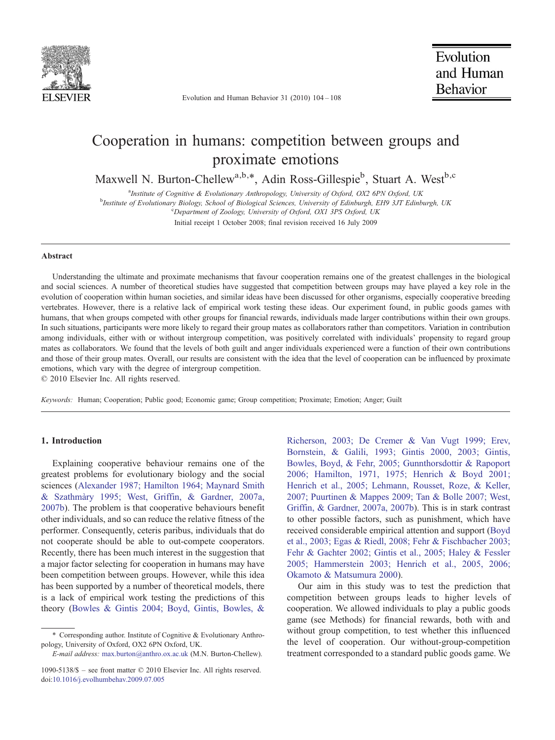

Evolution and Human Behavior 31 (2010) 104–108

# Cooperation in humans: competition between groups and proximate emotions

Maxwell N. Burton-Chellew<sup>a,b,\*</sup>, Adin Ross-Gillespie<sup>b</sup>, Stuart A. West<sup>b,c</sup>

<sup>a</sup> Institute of Cognitive & Evolutionary Anthropology, University of Oxford, OX2 6PN Oxford, UK<br><sup>b</sup>Institute of Evolutionary Biology, School of Biological Sciences, University of Ediphysek, EH0 31T Ediph <sup>b</sup>Institute of Evolutionary Biology, School of Biological Sciences, University of Edinburgh, EH9 3JT Edinburgh, UK Department of Zoology, University of Oxford, OX1 3PS Oxford, UK Initial receipt 1 October 2008; final revision received 16 July 2009

#### Abstract

Understanding the ultimate and proximate mechanisms that favour cooperation remains one of the greatest challenges in the biological and social sciences. A number of theoretical studies have suggested that competition between groups may have played a key role in the evolution of cooperation within human societies, and similar ideas have been discussed for other organisms, especially cooperative breeding vertebrates. However, there is a relative lack of empirical work testing these ideas. Our experiment found, in public goods games with humans, that when groups competed with other groups for financial rewards, individuals made larger contributions within their own groups. In such situations, participants were more likely to regard their group mates as collaborators rather than competitors. Variation in contribution among individuals, either with or without intergroup competition, was positively correlated with individuals' propensity to regard group mates as collaborators. We found that the levels of both guilt and anger individuals experienced were a function of their own contributions and those of their group mates. Overall, our results are consistent with the idea that the level of cooperation can be influenced by proximate emotions, which vary with the degree of intergroup competition.

© 2010 Elsevier Inc. All rights reserved.

Keywords: Human; Cooperation; Public good; Economic game; Group competition; Proximate; Emotion; Anger; Guilt

### 1. Introduction

Explaining cooperative behaviour remains one of the greatest problems for evolutionary biology and the social sciences [\(Alexander 1987; Hamilton 1964; Maynard Smith](#page-3-0) [& Szathmàry 1995; West, Griffin, & Gardner, 2007a,](#page-3-0) [2007b\)](#page-3-0). The problem is that cooperative behaviours benefit other individuals, and so can reduce the relative fitness of the performer. Consequently, ceteris paribus, individuals that do not cooperate should be able to out-compete cooperators. Recently, there has been much interest in the suggestion that a major factor selecting for cooperation in humans may have been competition between groups. However, while this idea has been supported by a number of theoretical models, there is a lack of empirical work testing the predictions of this theory [\(Bowles & Gintis 2004; Boyd, Gintis, Bowles, &](#page-3-0)

[Richerson, 2003; De Cremer & Van Vugt 1999; Erev,](#page-3-0) [Bornstein, & Galili, 1993; Gintis 2000, 2003; Gintis,](#page-3-0) [Bowles, Boyd, & Fehr, 2005; Gunnthorsdottir & Rapoport](#page-3-0) [2006; Hamilton, 1971, 1975; Henrich & Boyd 2001;](#page-3-0) [Henrich et al., 2005](#page-3-0)[; Lehmann, Rousset, Roze, & Keller,](#page-4-0) [2007; Puurtinen & Mappes 2009; Tan & Bolle 2007; West,](#page-4-0) [Griffin, & Gardner, 2007a, 2007b\)](#page-4-0). This is in stark contrast to other possible factors, such as punishment, which have received considerable empirical attention and support ([Boyd](#page-3-0) [et al., 2003; Egas & Riedl, 2008; Fehr & Fischbacher 2003;](#page-3-0) [Fehr & Gachter 2002; Gintis et al., 2005; Haley & Fessler](#page-3-0) [2005; Hammerstein 2003; Henrich et al., 2005](#page-3-0)[, 2006;](#page-4-0) [Okamoto & Matsumura 2000\)](#page-4-0).

Our aim in this study was to test the prediction that competition between groups leads to higher levels of cooperation. We allowed individuals to play a public goods game (see Methods) for financial rewards, both with and without group competition, to test whether this influenced the level of cooperation. Our without-group-competition treatment corresponded to a standard public goods game. We

<sup>⁎</sup> Corresponding author. Institute of Cognitive & Evolutionary Anthropology, University of Oxford, OX2 6PN Oxford, UK.

E-mail address: [max.burton@anthro.ox.ac.uk](mailto:max.burton@anthro.ox.ac.uk) (M.N. Burton-Chellew).

<sup>1090-5138/\$</sup> – see front matter © 2010 Elsevier Inc. All rights reserved. doi[:10.1016/j.evolhumbehav.2009.07.005](http://dx.doi.org/10.1016/j.evolhumbehav.2009.07.005)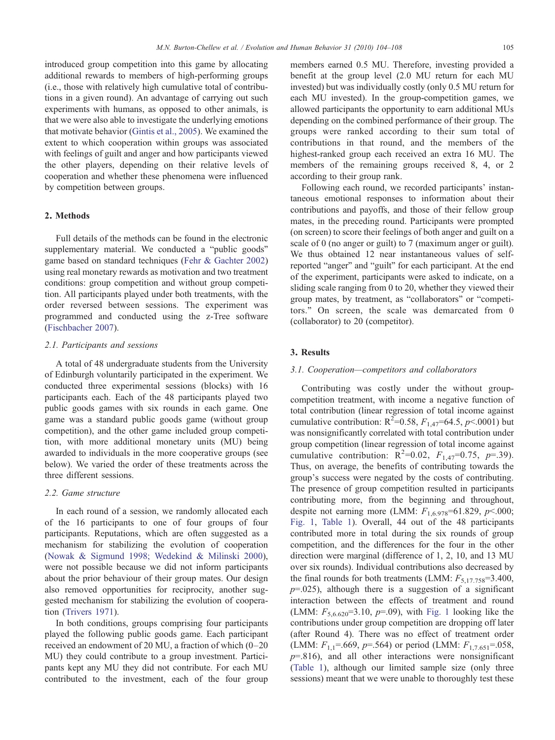introduced group competition into this game by allocating additional rewards to members of high-performing groups (i.e., those with relatively high cumulative total of contributions in a given round). An advantage of carrying out such experiments with humans, as opposed to other animals, is that we were also able to investigate the underlying emotions that motivate behavior [\(Gintis et al., 2005](#page-3-0)). We examined the extent to which cooperation within groups was associated with feelings of guilt and anger and how participants viewed the other players, depending on their relative levels of cooperation and whether these phenomena were influenced by competition between groups.

#### 2. Methods

Full details of the methods can be found in the electronic supplementary material. We conducted a "public goods" game based on standard techniques ([Fehr & Gachter 2002\)](#page-3-0) using real monetary rewards as motivation and two treatment conditions: group competition and without group competition. All participants played under both treatments, with the order reversed between sessions. The experiment was programmed and conducted using the z-Tree software [\(Fischbacher 2007\)](#page-3-0).

### 2.1. Participants and sessions

A total of 48 undergraduate students from the University of Edinburgh voluntarily participated in the experiment. We conducted three experimental sessions (blocks) with 16 participants each. Each of the 48 participants played two public goods games with six rounds in each game. One game was a standard public goods game (without group competition), and the other game included group competition, with more additional monetary units (MU) being awarded to individuals in the more cooperative groups (see below). We varied the order of these treatments across the three different sessions.

### 2.2. Game structure

In each round of a session, we randomly allocated each of the 16 participants to one of four groups of four participants. Reputations, which are often suggested as a mechanism for stabilizing the evolution of cooperation [\(Nowak & Sigmund 1998; Wedekind & Milinski 2000](#page-4-0)), were not possible because we did not inform participants about the prior behaviour of their group mates. Our design also removed opportunities for reciprocity, another suggested mechanism for stabilizing the evolution of cooperation [\(Trivers 1971\)](#page-4-0).

In both conditions, groups comprising four participants played the following public goods game. Each participant received an endowment of 20 MU, a fraction of which (0–20 MU) they could contribute to a group investment. Participants kept any MU they did not contribute. For each MU contributed to the investment, each of the four group members earned 0.5 MU. Therefore, investing provided a benefit at the group level (2.0 MU return for each MU invested) but was individually costly (only 0.5 MU return for each MU invested). In the group-competition games, we allowed participants the opportunity to earn additional MUs depending on the combined performance of their group. The groups were ranked according to their sum total of contributions in that round, and the members of the highest-ranked group each received an extra 16 MU. The members of the remaining groups received 8, 4, or 2 according to their group rank.

Following each round, we recorded participants' instantaneous emotional responses to information about their contributions and payoffs, and those of their fellow group mates, in the preceding round. Participants were prompted (on screen) to score their feelings of both anger and guilt on a scale of 0 (no anger or guilt) to 7 (maximum anger or guilt). We thus obtained 12 near instantaneous values of selfreported "anger" and "guilt" for each participant. At the end of the experiment, participants were asked to indicate, on a sliding scale ranging from 0 to 20, whether they viewed their group mates, by treatment, as "collaborators" or "competitors." On screen, the scale was demarcated from 0 (collaborator) to 20 (competitor).

#### 3. Results

### 3.1. Cooperation—competitors and collaborators

Contributing was costly under the without groupcompetition treatment, with income a negative function of total contribution (linear regression of total income against cumulative contribution:  $R^2 = 0.58$ ,  $F_{1,47} = 64.5$ ,  $p \le 0.001$ ) but was nonsignificantly correlated with total contribution under group competition (linear regression of total income against cumulative contribution:  $R^2=0.02$ ,  $F_{1,47}=0.75$ ,  $p=.39$ ). Thus, on average, the benefits of contributing towards the group's success were negated by the costs of contributing. The presence of group competition resulted in participants contributing more, from the beginning and throughout, despite not earning more (LMM:  $F_{1,6.978}$ =61.829, p<.000; [Fig. 1,](#page-2-0) [Table 1\)](#page-2-0). Overall, 44 out of the 48 participants contributed more in total during the six rounds of group competition, and the differences for the four in the other direction were marginal (difference of 1, 2, 10, and 13 MU over six rounds). Individual contributions also decreased by the final rounds for both treatments (LMM:  $F_{5,17,758}=3.400$ ,  $p=0.025$ ), although there is a suggestion of a significant interaction between the effects of treatment and round (LMM:  $F_{5,6.620}$ =3.10,  $p$ =.09), with [Fig. 1](#page-2-0) looking like the contributions under group competition are dropping off later (after Round 4). There was no effect of treatment order (LMM:  $F_{1,1}$ =.669, p=.564) or period (LMM:  $F_{1,7.651}$ =.058,  $p=816$ ), and all other interactions were nonsignificant [\(Table 1](#page-2-0)), although our limited sample size (only three sessions) meant that we were unable to thoroughly test these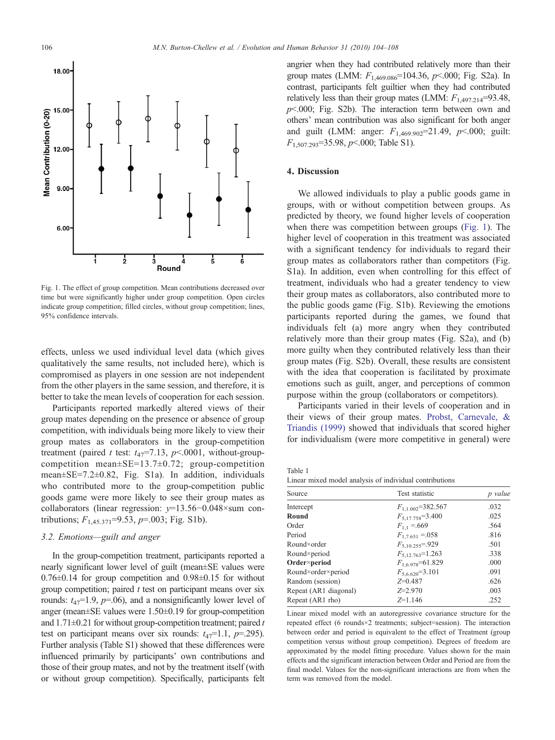<span id="page-2-0"></span>

Fig. 1. The effect of group competition. Mean contributions decreased over time but were significantly higher under group competition. Open circles indicate group competition; filled circles, without group competition; lines, 95% confidence intervals.

effects, unless we used individual level data (which gives qualitatively the same results, not included here), which is compromised as players in one session are not independent from the other players in the same session, and therefore, it is better to take the mean levels of cooperation for each session.

Participants reported markedly altered views of their group mates depending on the presence or absence of group competition, with individuals being more likely to view their group mates as collaborators in the group-competition treatment (paired t test:  $t_{47}$ =7.13, p < 0001, without-groupcompetition mean±SE=13.7±0.72; group-competition mean±SE=7.2±0.82, Fig. S1a). In addition, individuals who contributed more to the group-competition public goods game were more likely to see their group mates as collaborators (linear regression: y=13.56−0.048×sum contributions;  $F_{1,45,371} = 9.53$ ,  $p = .003$ ; Fig. S1b).

#### 3.2. Emotions—guilt and anger

In the group-competition treatment, participants reported a nearly significant lower level of guilt (mean±SE values were  $0.76\pm0.14$  for group competition and  $0.98\pm0.15$  for without group competition; paired  $t$  test on participant means over six rounds:  $t_{47}$ =1.9,  $p$ =.06), and a nonsignificantly lower level of anger (mean±SE values were 1.50±0.19 for group-competition and  $1.71\pm0.21$  for without group-competition treatment; paired t test on participant means over six rounds:  $t_{47}=1.1$ ,  $p=.295$ ). Further analysis (Table S1) showed that these differences were influenced primarily by participants' own contributions and those of their group mates, and not by the treatment itself (with or without group competition). Specifically, participants felt

angrier when they had contributed relatively more than their group mates (LMM:  $F_{1,469,086}$ =104.36, p<.000; Fig. S2a). In contrast, participants felt guiltier when they had contributed relatively less than their group mates (LMM:  $F_{1,497,214}$ =93.48,  $p<.000$ ; Fig. S2b). The interaction term between own and others' mean contribution was also significant for both anger and guilt (LMM: anger:  $F_{1,469.902} = 21.49$ ,  $p<.000$ ; guilt:  $F_{1,507.293}$ =35.98, p < 0.000; Table S1).

### 4. Discussion

We allowed individuals to play a public goods game in groups, with or without competition between groups. As predicted by theory, we found higher levels of cooperation when there was competition between groups (Fig. 1). The higher level of cooperation in this treatment was associated with a significant tendency for individuals to regard their group mates as collaborators rather than competitors (Fig. S1a). In addition, even when controlling for this effect of treatment, individuals who had a greater tendency to view their group mates as collaborators, also contributed more to the public goods game (Fig. S1b). Reviewing the emotions participants reported during the games, we found that individuals felt (a) more angry when they contributed relatively more than their group mates (Fig. S2a), and (b) more guilty when they contributed relatively less than their group mates (Fig. S2b). Overall, these results are consistent with the idea that cooperation is facilitated by proximate emotions such as guilt, anger, and perceptions of common purpose within the group (collaborators or competitors).

Participants varied in their levels of cooperation and in their views of their group mates. [Probst, Carnevale, &](#page-4-0) [Triandis \(1999\)](#page-4-0) showed that individuals that scored higher for individualism (were more competitive in general) were

Table 1 Linear mixed model analysis of individual contributions

| Source                | Test statistic         | p value |  |
|-----------------------|------------------------|---------|--|
| Intercept             | $F_{1,1,002}$ =382.567 | .032    |  |
| Round                 | $F_{5,17,758} = 3.400$ | .025    |  |
| Order                 | $F_{1,1} = .669$       | .564    |  |
| Period                | $F_{1,7,651} = 0.058$  | .816    |  |
| Round×order           | $F_{5,10,255}$ =.929   | .501    |  |
| Round×period          | $F_{5,12.763}$ =1.263  | .338    |  |
| Order×period          | $F_{1,6.978} = 61.829$ | .000    |  |
| Round×order×period    | $F_{5,6,620} = 3.101$  | .091    |  |
| Random (session)      | $Z=0.487$              | .626    |  |
| Repeat (AR1 diagonal) | $Z = 2.970$            | .003    |  |
| Repeat (AR1 rho)      | $Z=1.146$              | .252    |  |

Linear mixed model with an autoregressive covariance structure for the repeated effect (6 rounds×2 treatments; subject=session). The interaction between order and period is equivalent to the effect of Treatment (group competition versus without group competition). Degrees of freedom are approximated by the model fitting procedure. Values shown for the main effects and the significant interaction between Order and Period are from the final model. Values for the non-significant interactions are from when the term was removed from the model.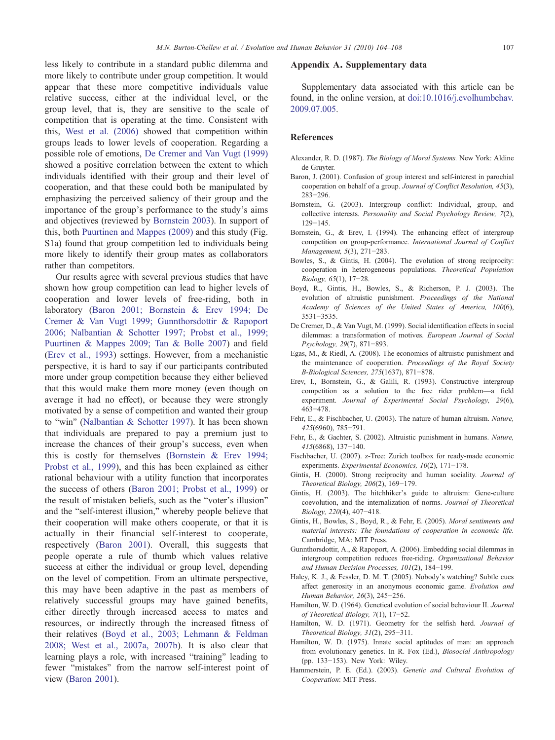<span id="page-3-0"></span>less likely to contribute in a standard public dilemma and more likely to contribute under group competition. It would appear that these more competitive individuals value relative success, either at the individual level, or the group level, that is, they are sensitive to the scale of competition that is operating at the time. Consistent with this, [West et al. \(2006\)](#page-4-0) showed that competition within groups leads to lower levels of cooperation. Regarding a possible role of emotions, De Cremer and Van Vugt (1999) showed a positive correlation between the extent to which individuals identified with their group and their level of cooperation, and that these could both be manipulated by emphasizing the perceived saliency of their group and the importance of the group's performance to the study's aims and objectives (reviewed by Bornstein 2003). In support of this, both [Puurtinen and Mappes \(2009\)](#page-4-0) and this study (Fig. S1a) found that group competition led to individuals being more likely to identify their group mates as collaborators rather than competitors.

Our results agree with several previous studies that have shown how group competition can lead to higher levels of cooperation and lower levels of free-riding, both in laboratory (Baron 2001; Bornstein & Erev 1994; De Cremer & Van Vugt 1999; Gunnthorsdottir & Rapoport 2006; Nalbantian & Schotter 1997; Probst et al., 199[9;](#page-4-0) [Puurtinen & Mappes 2009; Tan & Bolle 2007\)](#page-4-0) and field (Erev et al., 1993) settings. However, from a mechanistic perspective, it is hard to say if our participants contributed more under group competition because they either believed that this would make them more money (even though on average it had no effect), or because they were strongly motivated by a sense of competition and wanted their group to "win" ([Nalbantian & Schotter 1997](#page-4-0)). It has been shown that individuals are prepared to pay a premium just to increase the chances of their group's success, even when this is costly for themselves (Bornstein & Erev 1994; Probst et al., 1999), and this has been explained as either rational behaviour with a utility function that incorporates the success of others (Baron 2001; Probst et al., 1999) or the result of mistaken beliefs, such as the "voter's illusion" and the "self-interest illusion," whereby people believe that their cooperation will make others cooperate, or that it is actually in their financial self-interest to cooperate, respectively (Baron 2001). Overall, this suggests that people operate a rule of thumb which values relative success at either the individual or group level, depending on the level of competition. From an ultimate perspective, this may have been adaptive in the past as members of relatively successful groups may have gained benefits, either directly through increased access to mates and resources, or indirectly through the increased fitness of their relatives (Boyd et al., 2003[; Lehmann & Feldman](#page-4-0) [2008; West et al., 2007a, 2007b\)](#page-4-0). It is also clear that learning plays a role, with increased "training" leading to fewer "mistakes" from the narrow self-interest point of view (Baron 2001).

#### Appendix A. Supplementary data

Supplementary data associated with this article can be found, in the online version, at [doi:10.1016/j.evolhumbehav.](http://dx.doi.org/doi:10.1016/j.evolhumbehav.2009.07.005) [2009.07.005.](http://dx.doi.org/doi:10.1016/j.evolhumbehav.2009.07.005)

#### References

- Alexander, R. D. (1987). The Biology of Moral Systems. New York: Aldine de Gruyter.
- Baron, J. (2001). Confusion of group interest and self-interest in parochial cooperation on behalf of a group. Journal of Conflict Resolution, 45(3), 283−296.
- Bornstein, G. (2003). Intergroup conflict: Individual, group, and collective interests. Personality and Social Psychology Review, 7(2), 129−145.
- Bornstein, G., & Erev, I. (1994). The enhancing effect of intergroup competition on group-performance. International Journal of Conflict Management, 5(3), 271−283.
- Bowles, S., & Gintis, H. (2004). The evolution of strong reciprocity: cooperation in heterogeneous populations. Theoretical Population Biology, 65(1), 17−28.
- Boyd, R., Gintis, H., Bowles, S., & Richerson, P. J. (2003). The evolution of altruistic punishment. Proceedings of the National Academy of Sciences of the United States of America, 100(6), 3531−3535.
- De Cremer, D., & Van Vugt, M. (1999). Social identification effects in social dilemmas: a transformation of motives. European Journal of Social Psychology, 29(7), 871−893.
- Egas, M., & Riedl, A. (2008). The economics of altruistic punishment and the maintenance of cooperation. Proceedings of the Royal Society B-Biological Sciences, 275(1637), 871−878.
- Erev, I., Bornstein, G., & Galili, R. (1993). Constructive intergroup competition as a solution to the free rider problem—a field experiment. Journal of Experimental Social Psychology, 29(6), 463−478.
- Fehr, E., & Fischbacher, U. (2003). The nature of human altruism. Nature, 425(6960), 785−791.
- Fehr, E., & Gachter, S. (2002). Altruistic punishment in humans. Nature, 415(6868), 137−140.
- Fischbacher, U. (2007). z-Tree: Zurich toolbox for ready-made economic experiments. Experimental Economics, 10(2), 171−178.
- Gintis, H. (2000). Strong reciprocity and human sociality. Journal of Theoretical Biology, 206(2), 169−179.
- Gintis, H. (2003). The hitchhiker's guide to altruism: Gene-culture coevolution, and the internalization of norms. Journal of Theoretical Biology, 220(4), 407−418.
- Gintis, H., Bowles, S., Boyd, R., & Fehr, E. (2005). Moral sentiments and material interests: The foundations of cooperation in economic life. Cambridge, MA: MIT Press.
- Gunnthorsdottir, A., & Rapoport, A. (2006). Embedding social dilemmas in intergroup competition reduces free-riding. Organizational Behavior and Human Decision Processes, 101(2), 184−199.
- Haley, K. J., & Fessler, D. M. T. (2005). Nobody's watching? Subtle cues affect generosity in an anonymous economic game. Evolution and Human Behavior, 26(3), 245−256.
- Hamilton, W. D. (1964). Genetical evolution of social behaviour II. Journal of Theoretical Biology, 7(1), 17−52.
- Hamilton, W. D. (1971). Geometry for the selfish herd. Journal of Theoretical Biology, 31(2), 295−311.
- Hamilton, W. D. (1975). Innate social aptitudes of man: an approach from evolutionary genetics. In R. Fox (Ed.), Biosocial Anthropology (pp. 133−153). New York: Wiley.
- Hammerstein, P. E. (Ed.). (2003). Genetic and Cultural Evolution of Cooperation: MIT Press.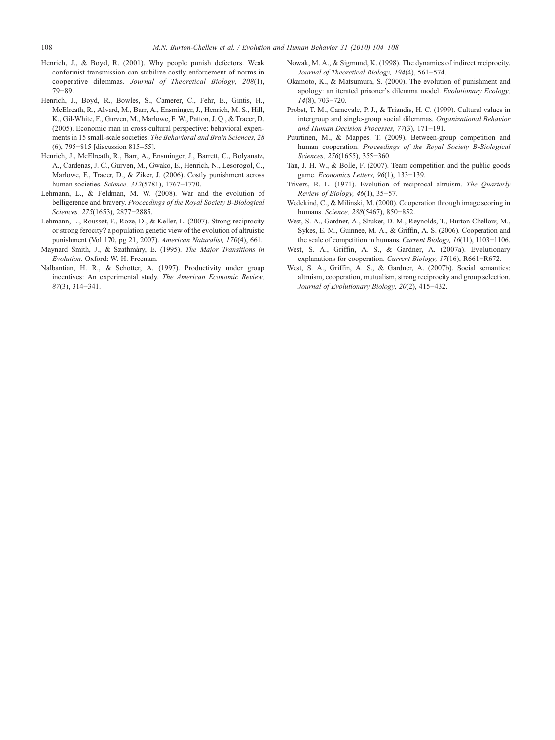- <span id="page-4-0"></span>Henrich, J., & Boyd, R. (2001). Why people punish defectors. Weak conformist transmission can stabilize costly enforcement of norms in cooperative dilemmas. Journal of Theoretical Biology, 208(1), 79−89.
- Henrich, J., Boyd, R., Bowles, S., Camerer, C., Fehr, E., Gintis, H., McElreath, R., Alvard, M., Barr, A., Ensminger, J., Henrich, M. S., Hill, K., Gil-White, F., Gurven, M., Marlowe, F. W., Patton, J. Q., & Tracer, D. (2005). Economic man in cross-cultural perspective: behavioral experiments in 15 small-scale societies. The Behavioral and Brain Sciences, 28 (6), 795−815 [discussion 815–55].
- Henrich, J., McElreath, R., Barr, A., Ensminger, J., Barrett, C., Bolyanatz, A., Cardenas, J. C., Gurven, M., Gwako, E., Henrich, N., Lesorogol, C., Marlowe, F., Tracer, D., & Ziker, J. (2006). Costly punishment across human societies. Science, 312(5781), 1767−1770.
- Lehmann, L., & Feldman, M. W. (2008). War and the evolution of belligerence and bravery. Proceedings of the Royal Society B-Biological Sciences, 275(1653), 2877−2885.
- Lehmann, L., Rousset, F., Roze, D., & Keller, L. (2007). Strong reciprocity or strong ferocity? a population genetic view of the evolution of altruistic punishment (Vol 170, pg 21, 2007). American Naturalist, 170(4), 661.
- Maynard Smith, J., & Szathmàry, E. (1995). The Major Transitions in Evolution. Oxford: W. H. Freeman.
- Nalbantian, H. R., & Schotter, A. (1997). Productivity under group incentives: An experimental study. The American Economic Review, 87(3), 314−341.
- Nowak, M. A., & Sigmund, K. (1998). The dynamics of indirect reciprocity. Journal of Theoretical Biology, 194(4), 561−574.
- Okamoto, K., & Matsumura, S. (2000). The evolution of punishment and apology: an iterated prisoner's dilemma model. Evolutionary Ecology, 14(8), 703−720.
- Probst, T. M., Carnevale, P. J., & Triandis, H. C. (1999). Cultural values in intergroup and single-group social dilemmas. Organizational Behavior and Human Decision Processes, 77(3), 171−191.
- Puurtinen, M., & Mappes, T. (2009). Between-group competition and human cooperation. Proceedings of the Royal Society B-Biological Sciences, 276(1655), 355−360.
- Tan, J. H. W., & Bolle, F. (2007). Team competition and the public goods game. Economics Letters, 96(1), 133−139.
- Trivers, R. L. (1971). Evolution of reciprocal altruism. The Quarterly Review of Biology, 46(1), 35−57.
- Wedekind, C., & Milinski, M. (2000). Cooperation through image scoring in humans. Science, 288(5467), 850−852.
- West, S. A., Gardner, A., Shuker, D. M., Reynolds, T., Burton-Chellow, M., Sykes, E. M., Guinnee, M. A., & Griffin, A. S. (2006). Cooperation and the scale of competition in humans. Current Biology, 16(11), 1103−1106.
- West, S. A., Griffin, A. S., & Gardner, A. (2007a). Evolutionary explanations for cooperation. Current Biology, 17(16), R661−R672.
- West, S. A., Griffin, A. S., & Gardner, A. (2007b). Social semantics: altruism, cooperation, mutualism, strong reciprocity and group selection. Journal of Evolutionary Biology, 20(2), 415−432.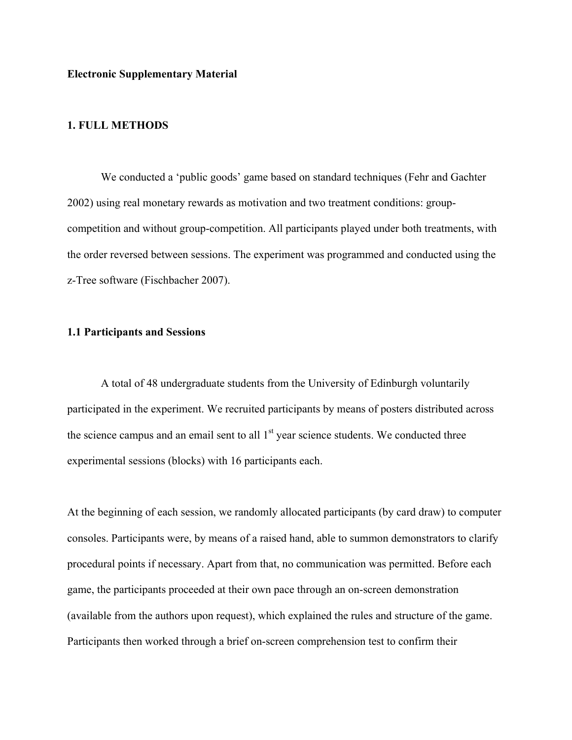**Electronic Supplementary Material**

# **1. FULL METHODS**

We conducted a 'public goods' game based on standard techniques (Fehr and Gachter 2002) using real monetary rewards as motivation and two treatment conditions: groupcompetition and without group-competition. All participants played under both treatments, with the order reversed between sessions. The experiment was programmed and conducted using the z-Tree software (Fischbacher 2007).

# **1.1 Participants and Sessions**

A total of 48 undergraduate students from the University of Edinburgh voluntarily participated in the experiment. We recruited participants by means of posters distributed across the science campus and an email sent to all  $1<sup>st</sup>$  year science students. We conducted three experimental sessions (blocks) with 16 participants each.

At the beginning of each session, we randomly allocated participants (by card draw) to computer consoles. Participants were, by means of a raised hand, able to summon demonstrators to clarify procedural points if necessary. Apart from that, no communication was permitted. Before each game, the participants proceeded at their own pace through an on-screen demonstration (available from the authors upon request), which explained the rules and structure of the game. Participants then worked through a brief on-screen comprehension test to confirm their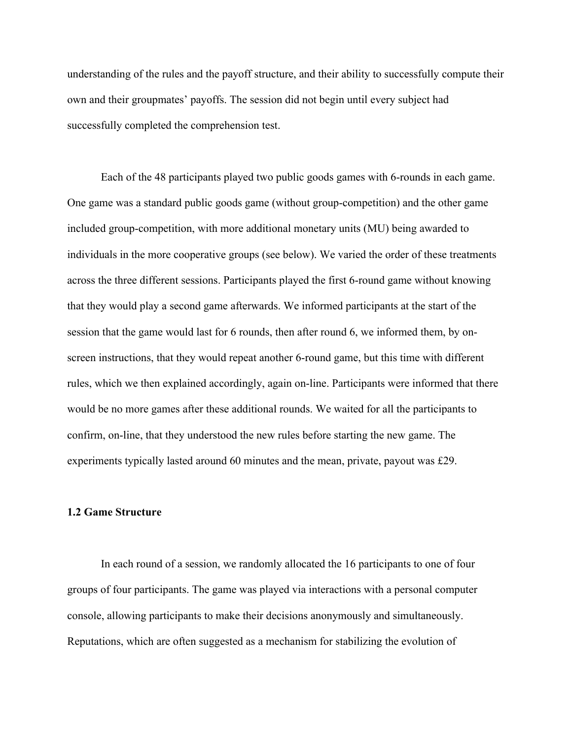understanding of the rules and the payoff structure, and their ability to successfully compute their own and their groupmates' payoffs. The session did not begin until every subject had successfully completed the comprehension test.

Each of the 48 participants played two public goods games with 6-rounds in each game. One game was a standard public goods game (without group-competition) and the other game included group-competition, with more additional monetary units (MU) being awarded to individuals in the more cooperative groups (see below). We varied the order of these treatments across the three different sessions. Participants played the first 6-round game without knowing that they would play a second game afterwards. We informed participants at the start of the session that the game would last for 6 rounds, then after round 6, we informed them, by onscreen instructions, that they would repeat another 6-round game, but this time with different rules, which we then explained accordingly, again on-line. Participants were informed that there would be no more games after these additional rounds. We waited for all the participants to confirm, on-line, that they understood the new rules before starting the new game. The experiments typically lasted around 60 minutes and the mean, private, payout was £29.

# **1.2 Game Structure**

In each round of a session, we randomly allocated the 16 participants to one of four groups of four participants. The game was played via interactions with a personal computer console, allowing participants to make their decisions anonymously and simultaneously. Reputations, which are often suggested as a mechanism for stabilizing the evolution of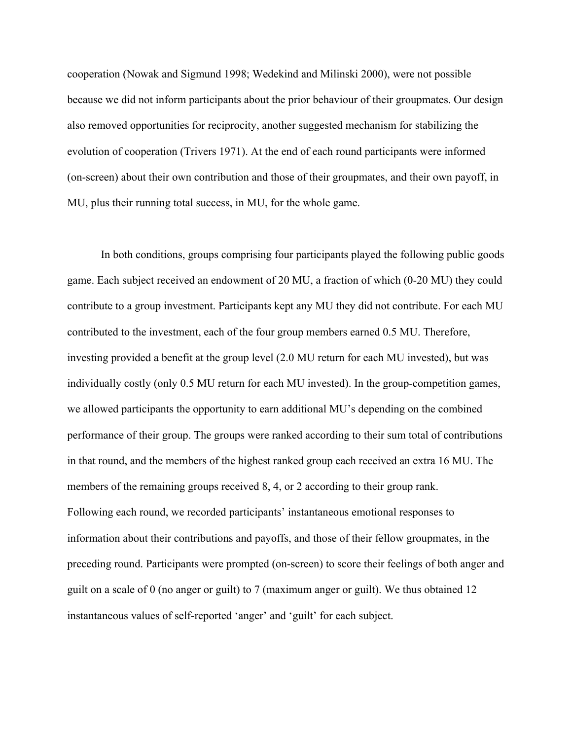cooperation (Nowak and Sigmund 1998; Wedekind and Milinski 2000), were not possible because we did not inform participants about the prior behaviour of their groupmates. Our design also removed opportunities for reciprocity, another suggested mechanism for stabilizing the evolution of cooperation (Trivers 1971). At the end of each round participants were informed (on-screen) about their own contribution and those of their groupmates, and their own payoff, in MU, plus their running total success, in MU, for the whole game.

In both conditions, groups comprising four participants played the following public goods game. Each subject received an endowment of 20 MU, a fraction of which (0-20 MU) they could contribute to a group investment. Participants kept any MU they did not contribute. For each MU contributed to the investment, each of the four group members earned 0.5 MU. Therefore, investing provided a benefit at the group level (2.0 MU return for each MU invested), but was individually costly (only 0.5 MU return for each MU invested). In the group-competition games, we allowed participants the opportunity to earn additional MU's depending on the combined performance of their group. The groups were ranked according to their sum total of contributions in that round, and the members of the highest ranked group each received an extra 16 MU. The members of the remaining groups received 8, 4, or 2 according to their group rank. Following each round, we recorded participants' instantaneous emotional responses to information about their contributions and payoffs, and those of their fellow groupmates, in the preceding round. Participants were prompted (on-screen) to score their feelings of both anger and guilt on a scale of 0 (no anger or guilt) to 7 (maximum anger or guilt). We thus obtained 12 instantaneous values of self-reported 'anger' and 'guilt' for each subject.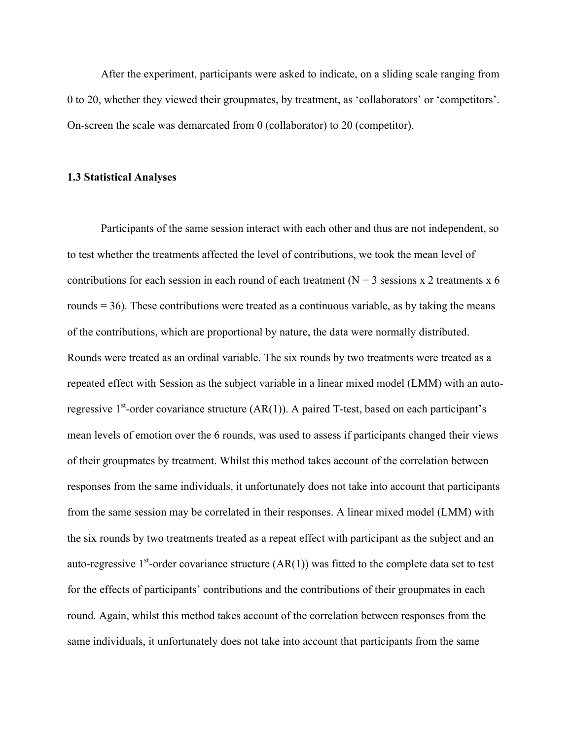After the experiment, participants were asked to indicate, on a sliding scale ranging from 0 to 20, whether they viewed their groupmates, by treatment, as 'collaborators' or 'competitors'. On-screen the scale was demarcated from 0 (collaborator) to 20 (competitor).

## **1.3 Statistical Analyses**

Participants of the same session interact with each other and thus are not independent, so to test whether the treatments affected the level of contributions, we took the mean level of contributions for each session in each round of each treatment ( $N = 3$  sessions x 2 treatments x 6 rounds  $=$  36). These contributions were treated as a continuous variable, as by taking the means of the contributions, which are proportional by nature, the data were normally distributed. Rounds were treated as an ordinal variable. The six rounds by two treatments were treated as a repeated effect with Session as the subject variable in a linear mixed model (LMM) with an autoregressive  $1<sup>st</sup>$ -order covariance structure (AR(1)). A paired T-test, based on each participant's mean levels of emotion over the 6 rounds, was used to assess if participants changed their views of their groupmates by treatment. Whilst this method takes account of the correlation between responses from the same individuals, it unfortunately does not take into account that participants from the same session may be correlated in their responses. A linear mixed model (LMM) with the six rounds by two treatments treated as a repeat effect with participant as the subject and an auto-regressive 1<sup>st</sup>-order covariance structure  $(AR(1))$  was fitted to the complete data set to test for the effects of participants' contributions and the contributions of their groupmates in each round. Again, whilst this method takes account of the correlation between responses from the same individuals, it unfortunately does not take into account that participants from the same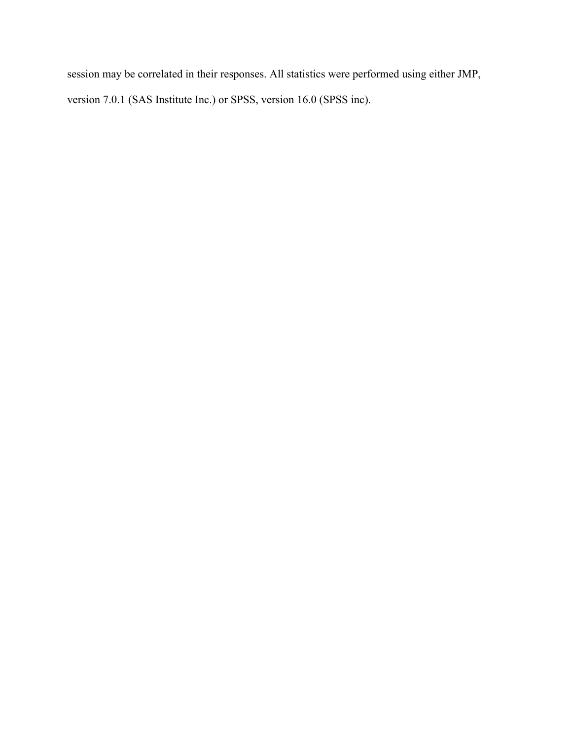session may be correlated in their responses. All statistics were performed using either JMP, version 7.0.1 (SAS Institute Inc.) or SPSS, version 16.0 (SPSS inc).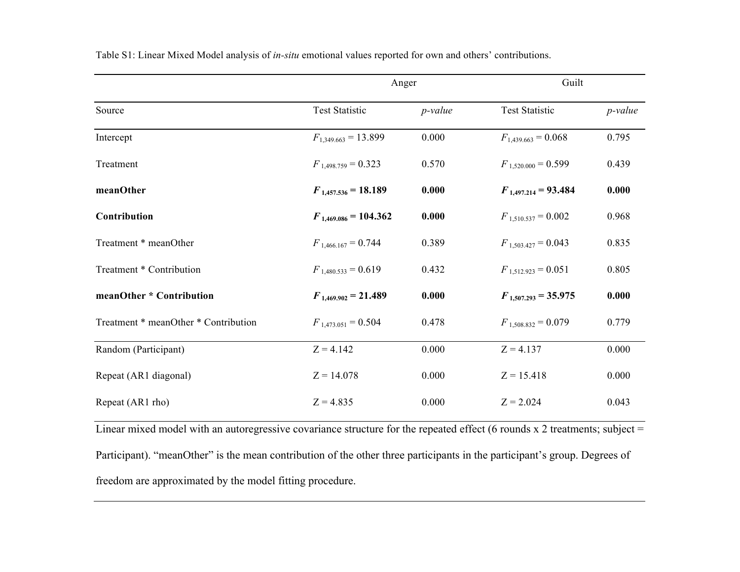|                                      |                           | Anger      |                          | Guilt      |  |
|--------------------------------------|---------------------------|------------|--------------------------|------------|--|
| Source                               | <b>Test Statistic</b>     | $p$ -value | <b>Test Statistic</b>    | $p$ -value |  |
| Intercept                            | $F_{1,349.663} = 13.899$  | 0.000      | $F_{1,439.663} = 0.068$  | 0.795      |  |
| Treatment                            | $F_{1,498.759} = 0.323$   | 0.570      | $F_{1,520,000} = 0.599$  | 0.439      |  |
| meanOther                            | $F_{1,457,536} = 18.189$  | 0.000      | $F_{1,497,214} = 93.484$ | 0.000      |  |
| Contribution                         | $F_{1,469.086} = 104.362$ | 0.000      | $F_{1,510,537} = 0.002$  | 0.968      |  |
| Treatment * meanOther                | $F_{1,466.167} = 0.744$   | 0.389      | $F_{1,503,427} = 0.043$  | 0.835      |  |
| Treatment * Contribution             | $F_{1,480,533} = 0.619$   | 0.432      | $F_{1.512.923} = 0.051$  | 0.805      |  |
| meanOther * Contribution             | $F_{1,469,902} = 21.489$  | 0.000      | $F_{1,507,293} = 35.975$ | 0.000      |  |
| Treatment * meanOther * Contribution | $F_{1,473.051} = 0.504$   | 0.478      | $F_{1.508.832} = 0.079$  | 0.779      |  |
| Random (Participant)                 | $Z = 4.142$               | 0.000      | $Z = 4.137$              | 0.000      |  |
| Repeat (AR1 diagonal)                | $Z = 14.078$              | 0.000      | $Z = 15.418$             | 0.000      |  |
| Repeat (AR1 rho)                     | $Z = 4.835$               | 0.000      | $Z = 2.024$              | 0.043      |  |

Table S1: Linear Mixed Model analysis of *in-situ* emotional values reported for own and others' contributions.

Linear mixed model with an autoregressive covariance structure for the repeated effect (6 rounds x 2 treatments; subject = Participant). "meanOther" is the mean contribution of the other three participants in the participant's group. Degrees of freedom are approximated by the model fitting procedure.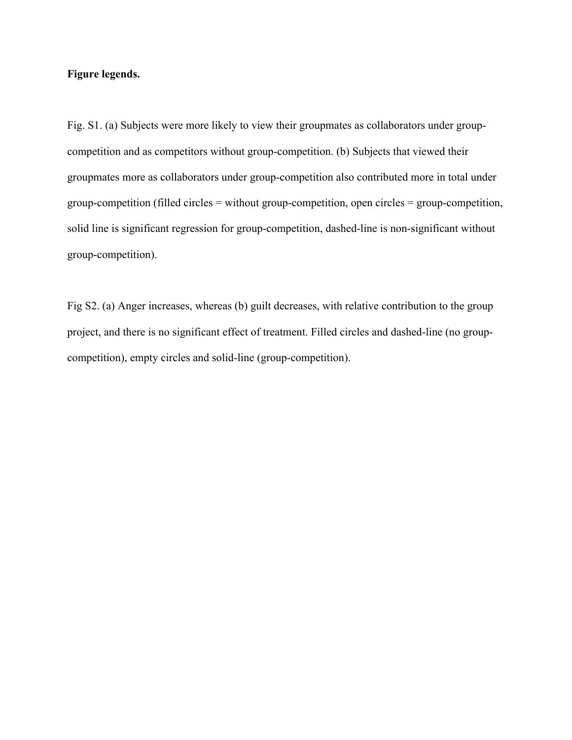# **Figure legends.**

Fig. S1. (a) Subjects were more likely to view their groupmates as collaborators under groupcompetition and as competitors without group-competition. (b) Subjects that viewed their groupmates more as collaborators under group-competition also contributed more in total under group-competition (filled circles = without group-competition, open circles = group-competition, solid line is significant regression for group-competition, dashed-line is non-significant without group-competition).

Fig S2. (a) Anger increases, whereas (b) guilt decreases, with relative contribution to the group project, and there is no significant effect of treatment. Filled circles and dashed-line (no groupcompetition), empty circles and solid-line (group-competition).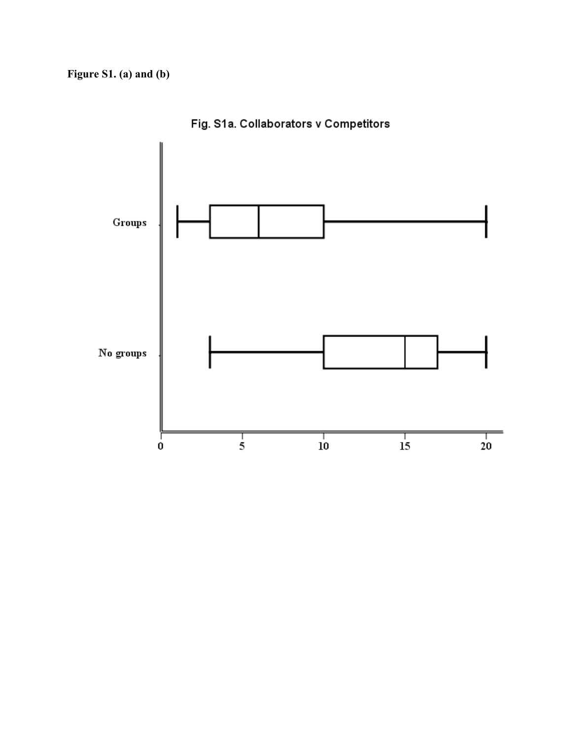

Fig. S1a. Collaborators v Competitors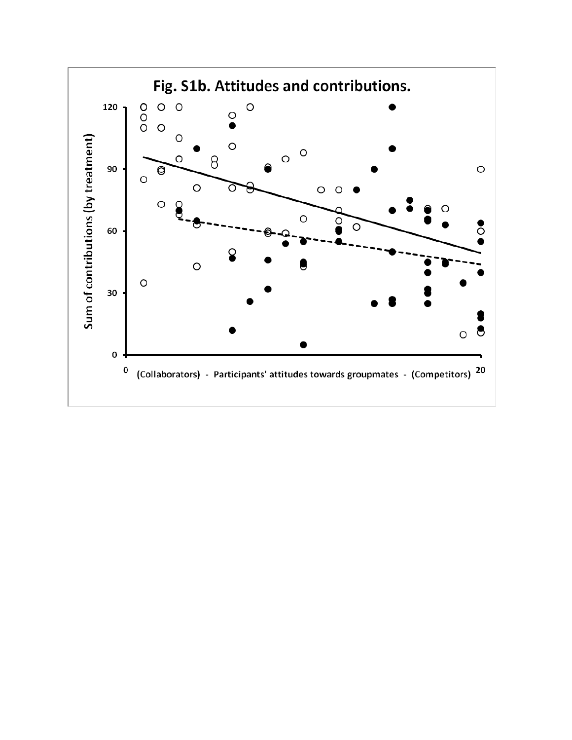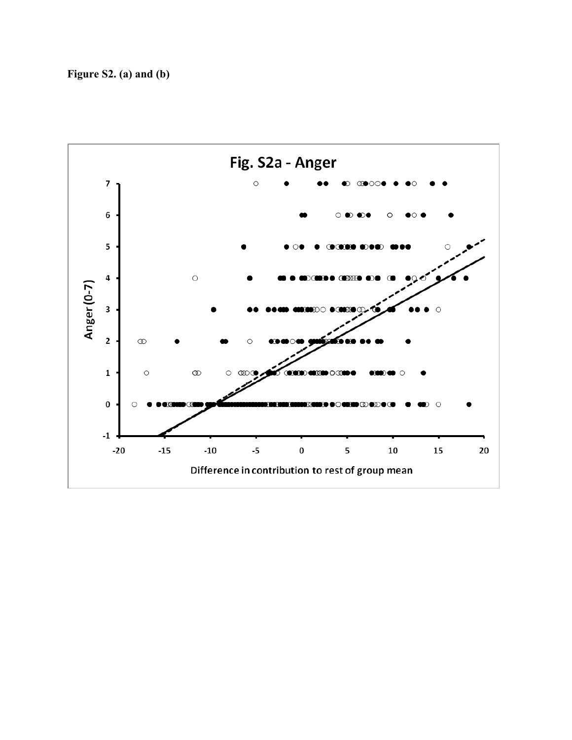